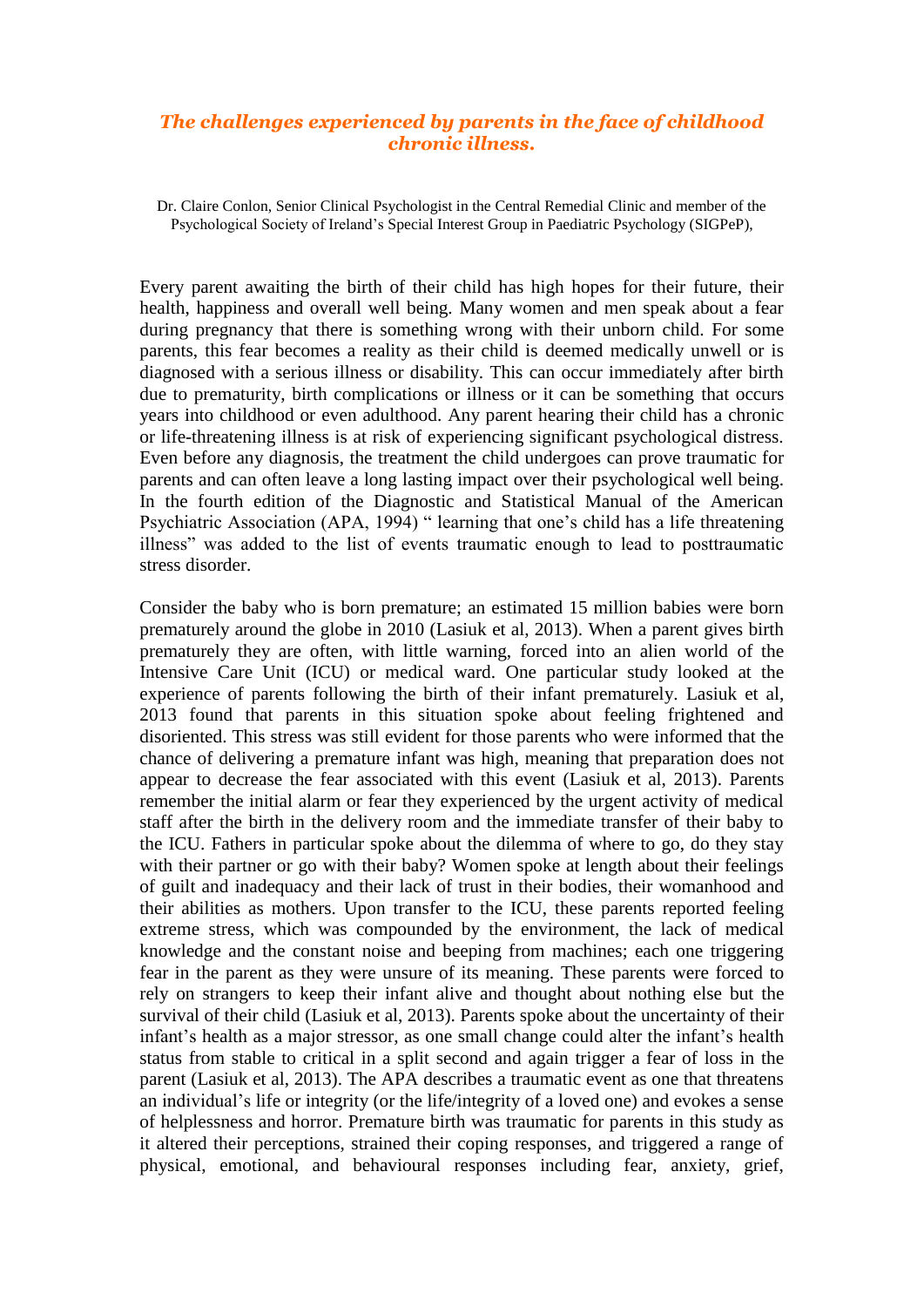## *The challenges experienced by parents in the face of childhood chronic illness.*

Dr. Claire Conlon, Senior Clinical Psychologist in the Central Remedial Clinic and member of the Psychological Society of Ireland's Special Interest Group in Paediatric Psychology (SIGPeP),

Every parent awaiting the birth of their child has high hopes for their future, their health, happiness and overall well being. Many women and men speak about a fear during pregnancy that there is something wrong with their unborn child. For some parents, this fear becomes a reality as their child is deemed medically unwell or is diagnosed with a serious illness or disability. This can occur immediately after birth due to prematurity, birth complications or illness or it can be something that occurs years into childhood or even adulthood. Any parent hearing their child has a chronic or life-threatening illness is at risk of experiencing significant psychological distress. Even before any diagnosis, the treatment the child undergoes can prove traumatic for parents and can often leave a long lasting impact over their psychological well being. In the fourth edition of the Diagnostic and Statistical Manual of the American Psychiatric Association (APA, 1994) " learning that one's child has a life threatening illness" was added to the list of events traumatic enough to lead to posttraumatic stress disorder.

Consider the baby who is born premature; an estimated 15 million babies were born prematurely around the globe in 2010 (Lasiuk et al, 2013). When a parent gives birth prematurely they are often, with little warning, forced into an alien world of the Intensive Care Unit (ICU) or medical ward. One particular study looked at the experience of parents following the birth of their infant prematurely. Lasiuk et al, 2013 found that parents in this situation spoke about feeling frightened and disoriented. This stress was still evident for those parents who were informed that the chance of delivering a premature infant was high, meaning that preparation does not appear to decrease the fear associated with this event (Lasiuk et al, 2013). Parents remember the initial alarm or fear they experienced by the urgent activity of medical staff after the birth in the delivery room and the immediate transfer of their baby to the ICU. Fathers in particular spoke about the dilemma of where to go, do they stay with their partner or go with their baby? Women spoke at length about their feelings of guilt and inadequacy and their lack of trust in their bodies, their womanhood and their abilities as mothers. Upon transfer to the ICU, these parents reported feeling extreme stress, which was compounded by the environment, the lack of medical knowledge and the constant noise and beeping from machines; each one triggering fear in the parent as they were unsure of its meaning. These parents were forced to rely on strangers to keep their infant alive and thought about nothing else but the survival of their child (Lasiuk et al, 2013). Parents spoke about the uncertainty of their infant's health as a major stressor, as one small change could alter the infant's health status from stable to critical in a split second and again trigger a fear of loss in the parent (Lasiuk et al, 2013). The APA describes a traumatic event as one that threatens an individual's life or integrity (or the life/integrity of a loved one) and evokes a sense of helplessness and horror. Premature birth was traumatic for parents in this study as it altered their perceptions, strained their coping responses, and triggered a range of physical, emotional, and behavioural responses including fear, anxiety, grief,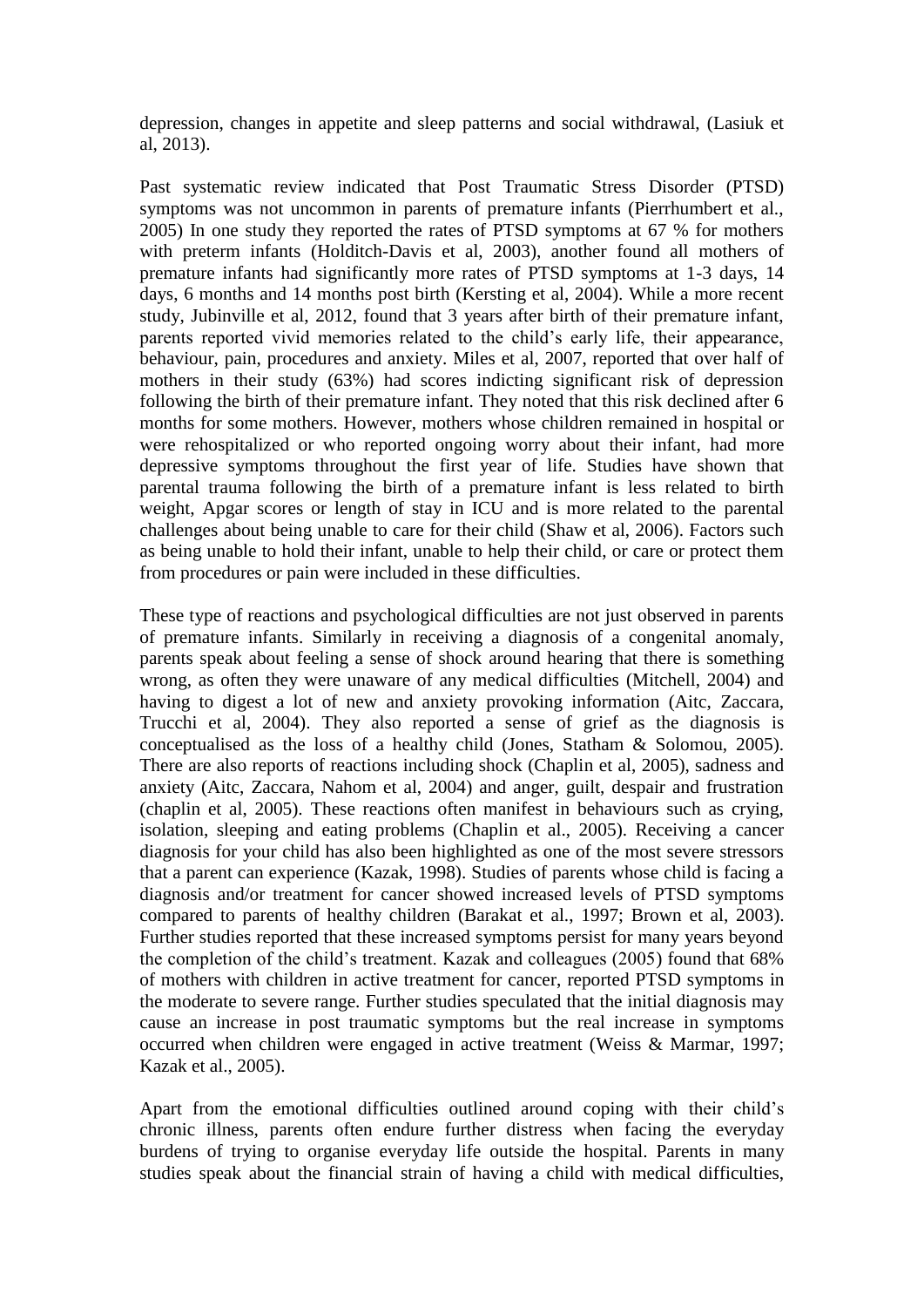depression, changes in appetite and sleep patterns and social withdrawal, (Lasiuk et al, 2013).

Past systematic review indicated that Post Traumatic Stress Disorder (PTSD) symptoms was not uncommon in parents of premature infants (Pierrhumbert et al., 2005) In one study they reported the rates of PTSD symptoms at 67 % for mothers with preterm infants (Holditch-Davis et al, 2003), another found all mothers of premature infants had significantly more rates of PTSD symptoms at 1-3 days, 14 days, 6 months and 14 months post birth (Kersting et al, 2004). While a more recent study, Jubinville et al, 2012, found that 3 years after birth of their premature infant, parents reported vivid memories related to the child's early life, their appearance, behaviour, pain, procedures and anxiety. Miles et al, 2007, reported that over half of mothers in their study (63%) had scores indicting significant risk of depression following the birth of their premature infant. They noted that this risk declined after 6 months for some mothers. However, mothers whose children remained in hospital or were rehospitalized or who reported ongoing worry about their infant, had more depressive symptoms throughout the first year of life. Studies have shown that parental trauma following the birth of a premature infant is less related to birth weight, Apgar scores or length of stay in ICU and is more related to the parental challenges about being unable to care for their child (Shaw et al, 2006). Factors such as being unable to hold their infant, unable to help their child, or care or protect them from procedures or pain were included in these difficulties.

These type of reactions and psychological difficulties are not just observed in parents of premature infants. Similarly in receiving a diagnosis of a congenital anomaly, parents speak about feeling a sense of shock around hearing that there is something wrong, as often they were unaware of any medical difficulties (Mitchell, 2004) and having to digest a lot of new and anxiety provoking information (Aitc, Zaccara, Trucchi et al, 2004). They also reported a sense of grief as the diagnosis is conceptualised as the loss of a healthy child (Jones, Statham & Solomou, 2005). There are also reports of reactions including shock (Chaplin et al, 2005), sadness and anxiety (Aitc, Zaccara, Nahom et al, 2004) and anger, guilt, despair and frustration (chaplin et al, 2005). These reactions often manifest in behaviours such as crying, isolation, sleeping and eating problems (Chaplin et al., 2005). Receiving a cancer diagnosis for your child has also been highlighted as one of the most severe stressors that a parent can experience (Kazak, 1998). Studies of parents whose child is facing a diagnosis and/or treatment for cancer showed increased levels of PTSD symptoms compared to parents of healthy children (Barakat et al., 1997; Brown et al, 2003). Further studies reported that these increased symptoms persist for many years beyond the completion of the child's treatment. Kazak and colleagues (2005) found that 68% of mothers with children in active treatment for cancer, reported PTSD symptoms in the moderate to severe range. Further studies speculated that the initial diagnosis may cause an increase in post traumatic symptoms but the real increase in symptoms occurred when children were engaged in active treatment (Weiss & Marmar, 1997; Kazak et al., 2005).

Apart from the emotional difficulties outlined around coping with their child's chronic illness, parents often endure further distress when facing the everyday burdens of trying to organise everyday life outside the hospital. Parents in many studies speak about the financial strain of having a child with medical difficulties,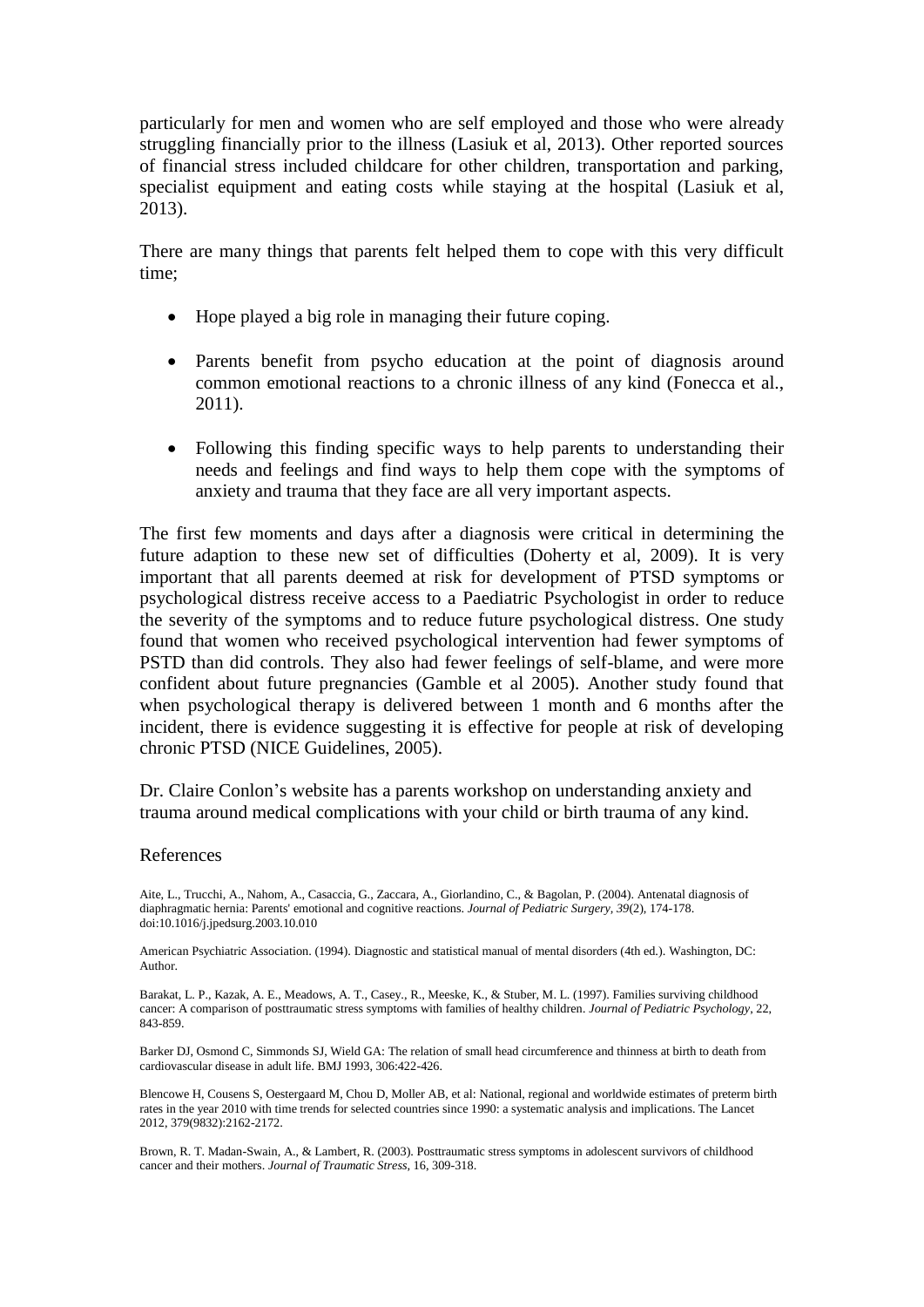particularly for men and women who are self employed and those who were already struggling financially prior to the illness (Lasiuk et al, 2013). Other reported sources of financial stress included childcare for other children, transportation and parking, specialist equipment and eating costs while staying at the hospital (Lasiuk et al, 2013).

There are many things that parents felt helped them to cope with this very difficult time;

- Hope played a big role in managing their future coping.
- Parents benefit from psycho education at the point of diagnosis around common emotional reactions to a chronic illness of any kind (Fonecca et al., 2011).
- Following this finding specific ways to help parents to understanding their needs and feelings and find ways to help them cope with the symptoms of anxiety and trauma that they face are all very important aspects.

The first few moments and days after a diagnosis were critical in determining the future adaption to these new set of difficulties (Doherty et al, 2009). It is very important that all parents deemed at risk for development of PTSD symptoms or psychological distress receive access to a Paediatric Psychologist in order to reduce the severity of the symptoms and to reduce future psychological distress. One study found that women who received psychological intervention had fewer symptoms of PSTD than did controls. They also had fewer feelings of self-blame, and were more confident about future pregnancies (Gamble et al 2005). Another study found that when psychological therapy is delivered between 1 month and 6 months after the incident, there is evidence suggesting it is effective for people at risk of developing chronic [PTSD](http://www.ncbi.nlm.nih.gov/books/n/nicecg26/abbreviations.gl1/def-item/abbreviations.gl1-d31/) (NICE Guidelines, 2005).

Dr. Claire Conlon's website has a parents workshop on understanding anxiety and trauma around medical complications with your child or birth trauma of any kind.

## References

Aite, L., Trucchi, A., Nahom, A., Casaccia, G., Zaccara, A., Giorlandino, C., & Bagolan, P. (2004). Antenatal diagnosis of diaphragmatic hernia: Parents' emotional and cognitive reactions. *Journal of Pediatric Surgery, 39*(2), 174-178. doi:10.1016/j.jpedsurg.2003.10.010

American Psychiatric Association. (1994). Diagnostic and statistical manual of mental disorders (4th ed.). Washington, DC: Author.

Barakat, L. P., Kazak, A. E., Meadows, A. T., Casey., R., Meeske, K., & Stuber, M. L. (1997). Families surviving childhood cancer: A comparison of posttraumatic stress symptoms with families of healthy children*. Journal of Pediatric Psychology*, 22, 843-859.

Barker DJ, Osmond C, Simmonds SJ, Wield GA: The relation of small head circumference and thinness at birth to death from cardiovascular disease in adult life. BMJ 1993, 306:422-426.

Blencowe H, Cousens S, Oestergaard M, Chou D, Moller AB, et al: National, regional and worldwide estimates of preterm birth rates in the year 2010 with time trends for selected countries since 1990: a systematic analysis and implications. The Lancet 2012, 379(9832):2162-2172.

Brown, R. T. Madan-Swain, A., & Lambert, R. (2003). Posttraumatic stress symptoms in adolescent survivors of childhood cancer and their mothers. *Journal of Traumatic Stress,* 16, 309-318.